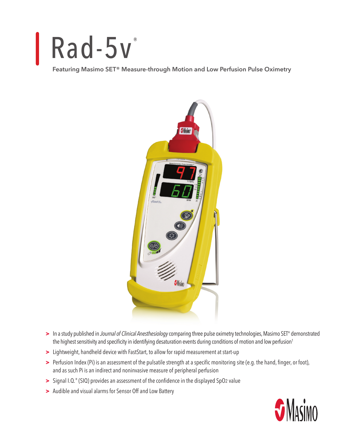## Rad-5v

**Featuring Masimo SET® Measure-through Motion and Low Perfusion Pulse Oximetry**



- **>** In a study published in *Journal of Clinical Anesthesiology* comparing three pulse oximetry technologies, Masimo SET® demonstrated the highest sensitivity and specificity in identifying desaturation events during conditions of motion and low perfusion<sup>1</sup>
- **>** Lightweight, handheld device with FastStart, to allow for rapid measurement at start-up
- **>** Perfusion Index (Pi) is an assessment of the pulsatile strength at a specific monitoring site (e.g. the hand, finger, or foot), and as such Pi is an indirect and noninvasive measure of peripheral perfusion
- **>** Signal I.Q.® (SIQ) provides an assessment of the confidence in the displayed SpO2 value
- **>** Audible and visual alarms for Sensor Off and Low Battery